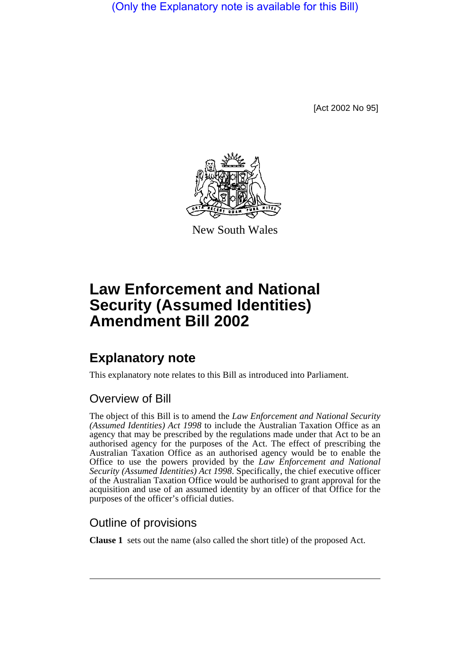(Only the Explanatory note is available for this Bill)

[Act 2002 No 95]



New South Wales

## **Law Enforcement and National Security (Assumed Identities) Amendment Bill 2002**

## **Explanatory note**

This explanatory note relates to this Bill as introduced into Parliament.

## Overview of Bill

The object of this Bill is to amend the *Law Enforcement and National Security (Assumed Identities) Act 1998* to include the Australian Taxation Office as an agency that may be prescribed by the regulations made under that Act to be an authorised agency for the purposes of the Act. The effect of prescribing the Australian Taxation Office as an authorised agency would be to enable the Office to use the powers provided by the *Law Enforcement and National Security (Assumed Identities) Act 1998*. Specifically, the chief executive officer of the Australian Taxation Office would be authorised to grant approval for the acquisition and use of an assumed identity by an officer of that Office for the purposes of the officer's official duties.

## Outline of provisions

**Clause 1** sets out the name (also called the short title) of the proposed Act.